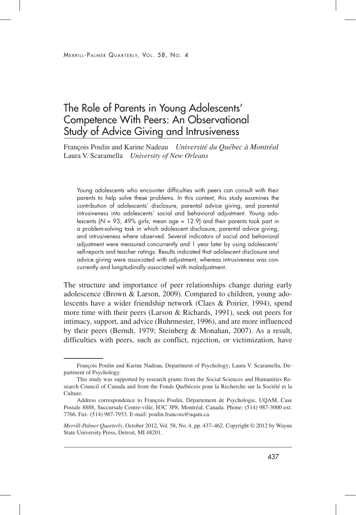# The Role of Parents in Young Adolescents' Competence With Peers: An Observational Study of Advice Giving and Intrusiveness

François Poulin and Karine Nadeau *Université du Québec à Montréal* Laura V. Scaramella *University of New Orleans*

Young adolescents who encounter difficulties with peers can consult with their parents to help solve these problems. In this context, this study examines the contribution of adolescents' disclosure, parental advice giving, and parental intrusiveness into adolescents' social and behavioral adjustment. Young adolescents (*N* = 93; 49% girls; mean age = 12.9) and their parents took part in a problem-solving task in which adolescent disclosure, parental advice giving, and intrusiveness where observed. Several indicators of social and behavioral adjustment were measured concurrently and 1 year later by using adolescents' self-reports and teacher ratings. Results indicated that adolescent disclosure and advice giving were associated with adjustment, whereas intrusiveness was concurrently and longitudinally associated with maladjustment.

The structure and importance of peer relationships change during early adolescence (Brown & Larson, 2009). Compared to children, young adolescents have a wider friendship network (Claes & Poirier, 1994), spend more time with their peers (Larson & Richards, 1991), seek out peers for intimacy, support, and advice (Buhrmester, 1996), and are more influenced by their peers (Berndt, 1979; Steinberg & Monahan, 2007). As a result, difficulties with peers, such as conflict, rejection, or victimization, have

François Poulin and Karine Nadeau, Department of Psychology; Laura V. Scaramella, Department of Psychology.

This study was supported by research grants from the Social Sciences and Humanities Research Council of Canada and from the Fonds Québécois pour la Recherche sur la Société et la Culture.

Address correspondence to François Poulin, Département de Psychologie, UQAM, Case Postale 8888, Succursale Centre-ville, H3C 3P8, Montréal, Canada. Phone: (514) 987-3000 ext. 7766. Fax: (514) 987-7953. E-mail: poulin.francois@uqam.ca.

*Merrill-Palmer Quarterly*, October 2012, Vol. 58, No. 4, pp. 437–462. Copyright © 2012 by Wayne State University Press, Detroit, MI 48201.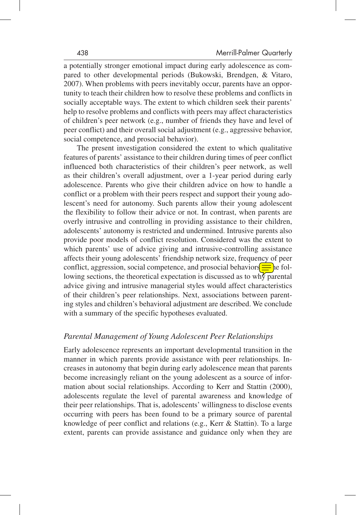a potentially stronger emotional impact during early adolescence as compared to other developmental periods (Bukowski, Brendgen, & Vitaro, 2007). When problems with peers inevitably occur, parents have an opportunity to teach their children how to resolve these problems and conflicts in socially acceptable ways. The extent to which children seek their parents' help to resolve problems and conflicts with peers may affect characteristics of children's peer network (e.g., number of friends they have and level of peer conflict) and their overall social adjustment (e.g., aggressive behavior, social competence, and prosocial behavior).

The present investigation considered the extent to which qualitative features of parents' assistance to their children during times of peer conflict influenced both characteristics of their children's peer network, as well as their children's overall adjustment, over a 1-year period during early adolescence. Parents who give their children advice on how to handle a conflict or a problem with their peers respect and support their young adolescent's need for autonomy. Such parents allow their young adolescent the flexibility to follow their advice or not. In contrast, when parents are overly intrusive and controlling in providing assistance to their children, adolescents' autonomy is restricted and undermined. Intrusive parents also provide poor models of conflict resolution. Considered was the extent to which parents' use of advice giving and intrusive-controlling assistance affects their young adolescents' friendship network size, frequency of peer conflict, aggression, social competence, and prosocial behaviors  $\equiv$  he following sections, the theoretical expectation is discussed as to why parental advice giving and intrusive managerial styles would affect characteristics of their children's peer relationships. Next, associations between parenting styles and children's behavioral adjustment are described. We conclude with a summary of the specific hypotheses evaluated.

## *Parental Management of Young Adolescent Peer Relationships*

Early adolescence represents an important developmental transition in the manner in which parents provide assistance with peer relationships. Increases in autonomy that begin during early adolescence mean that parents become increasingly reliant on the young adolescent as a source of information about social relationships. According to Kerr and Stattin (2000), adolescents regulate the level of parental awareness and knowledge of their peer relationships. That is, adolescents' willingness to disclose events occurring with peers has been found to be a primary source of parental knowledge of peer conflict and relations (e.g., Kerr & Stattin). To a large extent, parents can provide assistance and guidance only when they are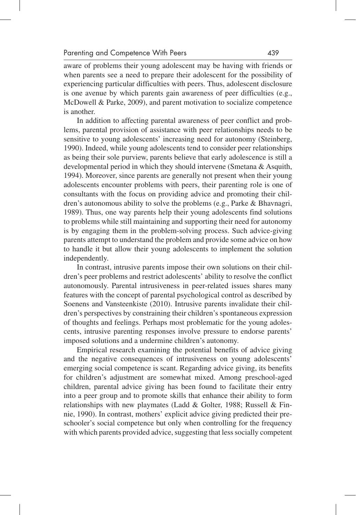aware of problems their young adolescent may be having with friends or when parents see a need to prepare their adolescent for the possibility of experiencing particular difficulties with peers. Thus, adolescent disclosure is one avenue by which parents gain awareness of peer difficulties (e.g., McDowell & Parke, 2009), and parent motivation to socialize competence is another.

In addition to affecting parental awareness of peer conflict and problems, parental provision of assistance with peer relationships needs to be sensitive to young adolescents' increasing need for autonomy (Steinberg, 1990). Indeed, while young adolescents tend to consider peer relationships as being their sole purview, parents believe that early adolescence is still a developmental period in which they should intervene (Smetana & Asquith, 1994). Moreover, since parents are generally not present when their young adolescents encounter problems with peers, their parenting role is one of consultants with the focus on providing advice and promoting their children's autonomous ability to solve the problems (e.g., Parke & Bhavnagri, 1989). Thus, one way parents help their young adolescents find solutions to problems while still maintaining and supporting their need for autonomy is by engaging them in the problem-solving process. Such advice-giving parents attempt to understand the problem and provide some advice on how to handle it but allow their young adolescents to implement the solution independently.

In contrast, intrusive parents impose their own solutions on their children's peer problems and restrict adolescents' ability to resolve the conflict autonomously. Parental intrusiveness in peer-related issues shares many features with the concept of parental psychological control as described by Soenens and Vansteenkiste (2010). Intrusive parents invalidate their children's perspectives by constraining their children's spontaneous expression of thoughts and feelings. Perhaps most problematic for the young adolescents, intrusive parenting responses involve pressure to endorse parents' imposed solutions and a undermine children's autonomy.

Empirical research examining the potential benefits of advice giving and the negative consequences of intrusiveness on young adolescents' emerging social competence is scant. Regarding advice giving, its benefits for children's adjustment are somewhat mixed. Among preschool-aged children, parental advice giving has been found to facilitate their entry into a peer group and to promote skills that enhance their ability to form relationships with new playmates (Ladd & Golter, 1988; Russell & Finnie, 1990). In contrast, mothers' explicit advice giving predicted their preschooler's social competence but only when controlling for the frequency with which parents provided advice, suggesting that less socially competent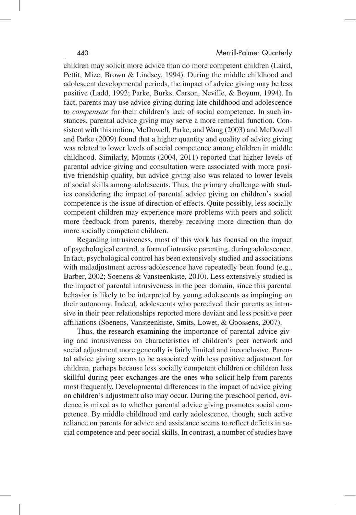children may solicit more advice than do more competent children (Laird, Pettit, Mize, Brown & Lindsey, 1994). During the middle childhood and adolescent developmental periods, the impact of advice giving may be less positive (Ladd, 1992; Parke, Burks, Carson, Neville, & Boyum, 1994). In fact, parents may use advice giving during late childhood and adolescence to *compensate* for their children's lack of social competence. In such instances, parental advice giving may serve a more remedial function. Consistent with this notion, McDowell, Parke, and Wang (2003) and McDowell and Parke (2009) found that a higher quantity and quality of advice giving was related to lower levels of social competence among children in middle childhood. Similarly, Mounts (2004, 2011) reported that higher levels of parental advice giving and consultation were associated with more positive friendship quality, but advice giving also was related to lower levels of social skills among adolescents. Thus, the primary challenge with studies considering the impact of parental advice giving on children's social competence is the issue of direction of effects. Quite possibly, less socially competent children may experience more problems with peers and solicit more feedback from parents, thereby receiving more direction than do more socially competent children.

Regarding intrusiveness, most of this work has focused on the impact of psychological control, a form of intrusive parenting, during adolescence. In fact, psychological control has been extensively studied and associations with maladjustment across adolescence have repeatedly been found (e.g., Barber, 2002; Soenens & Vansteenkiste, 2010). Less extensively studied is the impact of parental intrusiveness in the peer domain, since this parental behavior is likely to be interpreted by young adolescents as impinging on their autonomy. Indeed, adolescents who perceived their parents as intrusive in their peer relationships reported more deviant and less positive peer affiliations (Soenens, Vansteenkiste, Smits, Lowet, & Goossens, 2007).

Thus, the research examining the importance of parental advice giving and intrusiveness on characteristics of children's peer network and social adjustment more generally is fairly limited and inconclusive. Parental advice giving seems to be associated with less positive adjustment for children, perhaps because less socially competent children or children less skillful during peer exchanges are the ones who solicit help from parents most frequently. Developmental differences in the impact of advice giving on children's adjustment also may occur. During the preschool period, evidence is mixed as to whether parental advice giving promotes social competence. By middle childhood and early adolescence, though, such active reliance on parents for advice and assistance seems to reflect deficits in social competence and peer social skills. In contrast, a number of studies have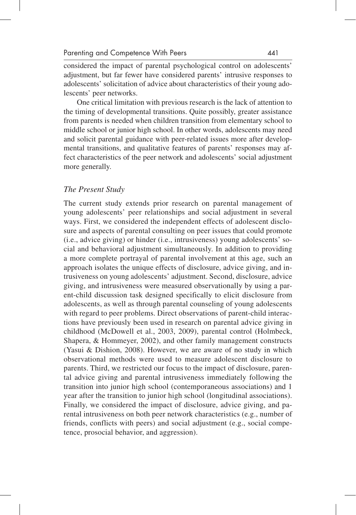considered the impact of parental psychological control on adolescents' adjustment, but far fewer have considered parents' intrusive responses to adolescents' solicitation of advice about characteristics of their young adolescents' peer networks.

One critical limitation with previous research is the lack of attention to the timing of developmental transitions. Quite possibly, greater assistance from parents is needed when children transition from elementary school to middle school or junior high school. In other words, adolescents may need and solicit parental guidance with peer-related issues more after developmental transitions, and qualitative features of parents' responses may affect characteristics of the peer network and adolescents' social adjustment more generally.

## *The Present Study*

The current study extends prior research on parental management of young adolescents' peer relationships and social adjustment in several ways. First, we considered the independent effects of adolescent disclosure and aspects of parental consulting on peer issues that could promote (i.e., advice giving) or hinder (i.e., intrusiveness) young adolescents' social and behavioral adjustment simultaneously. In addition to providing a more complete portrayal of parental involvement at this age, such an approach isolates the unique effects of disclosure, advice giving, and intrusiveness on young adolescents' adjustment. Second, disclosure, advice giving, and intrusiveness were measured observationally by using a parent-child discussion task designed specifically to elicit disclosure from adolescents, as well as through parental counseling of young adolescents with regard to peer problems. Direct observations of parent-child interactions have previously been used in research on parental advice giving in childhood (McDowell et al., 2003, 2009), parental control (Holmbeck, Shapera, & Hommeyer, 2002), and other family management constructs (Yasui & Dishion, 2008). However, we are aware of no study in which observational methods were used to measure adolescent disclosure to parents. Third, we restricted our focus to the impact of disclosure, parental advice giving and parental intrusiveness immediately following the transition into junior high school (contemporaneous associations) and 1 year after the transition to junior high school (longitudinal associations). Finally, we considered the impact of disclosure, advice giving, and parental intrusiveness on both peer network characteristics (e.g., number of friends, conflicts with peers) and social adjustment (e.g., social competence, prosocial behavior, and aggression).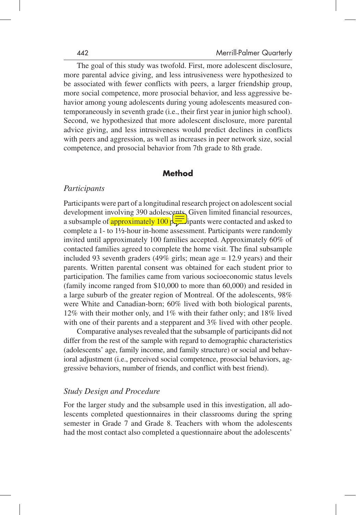The goal of this study was twofold. First, more adolescent disclosure, more parental advice giving, and less intrusiveness were hypothesized to be associated with fewer conflicts with peers, a larger friendship group, more social competence, more prosocial behavior, and less aggressive behavior among young adolescents during young adolescents measured contemporaneously in seventh grade (i.e., their first year in junior high school). Second, we hypothesized that more adolescent disclosure, more parental advice giving, and less intrusiveness would predict declines in conflicts with peers and aggression, as well as increases in peer network size, social competence, and prosocial behavior from 7th grade to 8th grade.

## **Method**

#### *Participants*

Participants were part of a longitudinal research project on adolescent social development involving 390 adolescents. Given limited financial resources, a subsample of approximately 100  $\sqrt{2}$  ipants were contacted and asked to complete a 1- to 1½-hour in-home assessment. Participants were randomly invited until approximately 100 families accepted. Approximately 60% of contacted families agreed to complete the home visit. The final subsample included 93 seventh graders (49% girls; mean age  $= 12.9$  years) and their parents. Written parental consent was obtained for each student prior to participation. The families came from various socioeconomic status levels (family income ranged from \$10,000 to more than 60,000) and resided in a large suburb of the greater region of Montreal. Of the adolescents, 98% were White and Canadian-born; 60% lived with both biological parents, 12% with their mother only, and 1% with their father only; and 18% lived with one of their parents and a stepparent and 3% lived with other people.

Comparative analyses revealed that the subsample of participants did not differ from the rest of the sample with regard to demographic characteristics (adolescents' age, family income, and family structure) or social and behavioral adjustment (i.e., perceived social competence, prosocial behaviors, aggressive behaviors, number of friends, and conflict with best friend).

## *Study Design and Procedure*

For the larger study and the subsample used in this investigation, all adolescents completed questionnaires in their classrooms during the spring semester in Grade 7 and Grade 8. Teachers with whom the adolescents had the most contact also completed a questionnaire about the adolescents'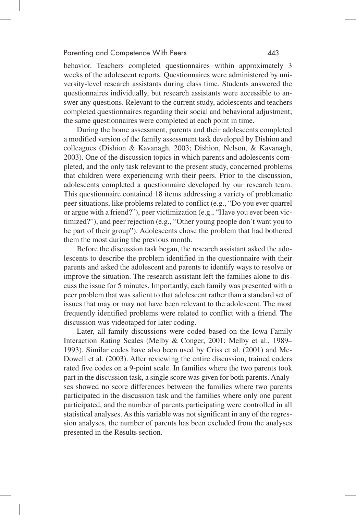## Parenting and Competence With Peers 443

behavior. Teachers completed questionnaires within approximately 3 weeks of the adolescent reports. Questionnaires were administered by university-level research assistants during class time. Students answered the questionnaires individually, but research assistants were accessible to answer any questions. Relevant to the current study, adolescents and teachers completed questionnaires regarding their social and behavioral adjustment; the same questionnaires were completed at each point in time.

During the home assessment, parents and their adolescents completed a modified version of the family assessment task developed by Dishion and colleagues (Dishion & Kavanagh, 2003; Dishion, Nelson, & Kavanagh, 2003). One of the discussion topics in which parents and adolescents completed, and the only task relevant to the present study, concerned problems that children were experiencing with their peers. Prior to the discussion, adolescents completed a questionnaire developed by our research team. This questionnaire contained 18 items addressing a variety of problematic peer situations, like problems related to conflict (e.g., "Do you ever quarrel or argue with a friend?"), peer victimization (e.g., "Have you ever been victimized?"), and peer rejection (e.g., "Other young people don't want you to be part of their group"). Adolescents chose the problem that had bothered them the most during the previous month.

Before the discussion task began, the research assistant asked the adolescents to describe the problem identified in the questionnaire with their parents and asked the adolescent and parents to identify ways to resolve or improve the situation. The research assistant left the families alone to discuss the issue for 5 minutes. Importantly, each family was presented with a peer problem that was salient to that adolescent rather than a standard set of issues that may or may not have been relevant to the adolescent. The most frequently identified problems were related to conflict with a friend. The discussion was videotaped for later coding.

Later, all family discussions were coded based on the Iowa Family Interaction Rating Scales (Melby & Conger, 2001; Melby et al., 1989– 1993). Similar codes have also been used by Criss et al. (2001) and Mc-Dowell et al. (2003). After reviewing the entire discussion, trained coders rated five codes on a 9-point scale. In families where the two parents took part in the discussion task, a single score was given for both parents. Analyses showed no score differences between the families where two parents participated in the discussion task and the families where only one parent participated, and the number of parents participating were controlled in all statistical analyses. As this variable was not significant in any of the regression analyses, the number of parents has been excluded from the analyses presented in the Results section.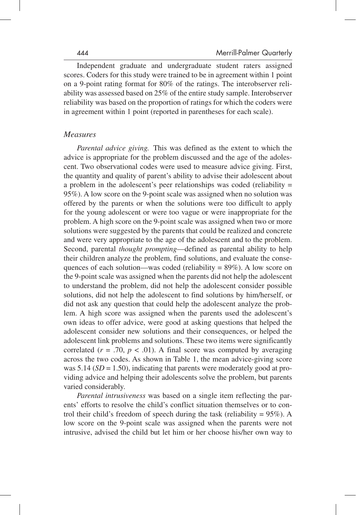Independent graduate and undergraduate student raters assigned scores. Coders for this study were trained to be in agreement within 1 point on a 9-point rating format for 80% of the ratings. The interobserver reliability was assessed based on 25% of the entire study sample. Interobserver reliability was based on the proportion of ratings for which the coders were in agreement within 1 point (reported in parentheses for each scale).

## *Measures*

*Parental advice giving.* This was defined as the extent to which the advice is appropriate for the problem discussed and the age of the adolescent. Two observational codes were used to measure advice giving. First, the quantity and quality of parent's ability to advise their adolescent about a problem in the adolescent's peer relationships was coded (reliability = 95%). A low score on the 9-point scale was assigned when no solution was offered by the parents or when the solutions were too difficult to apply for the young adolescent or were too vague or were inappropriate for the problem. A high score on the 9-point scale was assigned when two or more solutions were suggested by the parents that could be realized and concrete and were very appropriate to the age of the adolescent and to the problem. Second, parental *thought prompting*—defined as parental ability to help their children analyze the problem, find solutions, and evaluate the consequences of each solution—was coded (reliability  $= 89\%$ ). A low score on the 9-point scale was assigned when the parents did not help the adolescent to understand the problem, did not help the adolescent consider possible solutions, did not help the adolescent to find solutions by him/herself, or did not ask any question that could help the adolescent analyze the problem. A high score was assigned when the parents used the adolescent's own ideas to offer advice, were good at asking questions that helped the adolescent consider new solutions and their consequences, or helped the adolescent link problems and solutions. These two items were significantly correlated  $(r = .70, p < .01)$ . A final score was computed by averaging across the two codes. As shown in Table 1, the mean advice-giving score was 5.14 (*SD* = 1.50), indicating that parents were moderately good at providing advice and helping their adolescents solve the problem, but parents varied considerably.

*Parental intrusiveness* was based on a single item reflecting the parents' efforts to resolve the child's conflict situation themselves or to control their child's freedom of speech during the task (reliability  $= 95\%$ ). A low score on the 9-point scale was assigned when the parents were not intrusive, advised the child but let him or her choose his/her own way to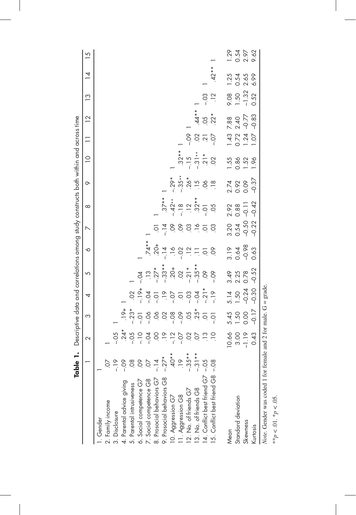|                                            | Table 1.                                                                                      |                                                       |                                                                                                                                                                                                                                                                                                                                                                 |                                                                                                                                                                                     |                      |                                                                                                                                                                                                                                                                    |                            |                                                             |                                              | Descriptive data and correlations among study constructs both within and across time |                          |                      |         |                        |                               |
|--------------------------------------------|-----------------------------------------------------------------------------------------------|-------------------------------------------------------|-----------------------------------------------------------------------------------------------------------------------------------------------------------------------------------------------------------------------------------------------------------------------------------------------------------------------------------------------------------------|-------------------------------------------------------------------------------------------------------------------------------------------------------------------------------------|----------------------|--------------------------------------------------------------------------------------------------------------------------------------------------------------------------------------------------------------------------------------------------------------------|----------------------------|-------------------------------------------------------------|----------------------------------------------|--------------------------------------------------------------------------------------|--------------------------|----------------------|---------|------------------------|-------------------------------|
|                                            |                                                                                               | 2                                                     | S                                                                                                                                                                                                                                                                                                                                                               | 4                                                                                                                                                                                   | 5                    | ♦                                                                                                                                                                                                                                                                  | $\overline{\phantom{1}}$   | $\infty$                                                    | $\circ$                                      | $\overline{C}$                                                                       | $\overline{\phantom{0}}$ | $\overline{2}$       | S       | $\overline{4}$         | $\frac{5}{2}$                 |
| I. Gender                                  |                                                                                               |                                                       |                                                                                                                                                                                                                                                                                                                                                                 |                                                                                                                                                                                     |                      |                                                                                                                                                                                                                                                                    |                            |                                                             |                                              |                                                                                      |                          |                      |         |                        |                               |
| 2. Family income                           |                                                                                               |                                                       |                                                                                                                                                                                                                                                                                                                                                                 |                                                                                                                                                                                     |                      |                                                                                                                                                                                                                                                                    |                            |                                                             |                                              |                                                                                      |                          |                      |         |                        |                               |
| 3. Disclosure                              |                                                                                               |                                                       |                                                                                                                                                                                                                                                                                                                                                                 |                                                                                                                                                                                     |                      |                                                                                                                                                                                                                                                                    |                            |                                                             |                                              |                                                                                      |                          |                      |         |                        |                               |
| 4. Parental advice giving                  | $5.988557*$<br>$-1.988557*$<br>$-1.949*$<br>$-1.9585*$<br>$-1.958*$<br>$-1.958*$<br>$-1.988*$ |                                                       |                                                                                                                                                                                                                                                                                                                                                                 |                                                                                                                                                                                     |                      |                                                                                                                                                                                                                                                                    |                            |                                                             |                                              |                                                                                      |                          |                      |         |                        |                               |
| 5. Parental intrusiveness                  |                                                                                               |                                                       |                                                                                                                                                                                                                                                                                                                                                                 |                                                                                                                                                                                     |                      |                                                                                                                                                                                                                                                                    |                            |                                                             |                                              |                                                                                      |                          |                      |         |                        |                               |
| 6. Social competence G7                    |                                                                                               |                                                       |                                                                                                                                                                                                                                                                                                                                                                 |                                                                                                                                                                                     | $-5$                 |                                                                                                                                                                                                                                                                    |                            |                                                             |                                              |                                                                                      |                          |                      |         |                        |                               |
| 7. Social competence G8                    |                                                                                               |                                                       |                                                                                                                                                                                                                                                                                                                                                                 |                                                                                                                                                                                     |                      |                                                                                                                                                                                                                                                                    |                            |                                                             |                                              |                                                                                      |                          |                      |         |                        |                               |
| 8. Prosocial behaviors G7                  |                                                                                               |                                                       |                                                                                                                                                                                                                                                                                                                                                                 |                                                                                                                                                                                     |                      |                                                                                                                                                                                                                                                                    |                            |                                                             |                                              |                                                                                      |                          |                      |         |                        |                               |
| 9. Prosocial behaviors G8                  |                                                                                               |                                                       |                                                                                                                                                                                                                                                                                                                                                                 |                                                                                                                                                                                     |                      |                                                                                                                                                                                                                                                                    | $-14$                      |                                                             |                                              |                                                                                      |                          |                      |         |                        |                               |
| 10. Aggression G7                          |                                                                                               |                                                       | $\frac{1}{2} \sum_{i=1}^{4} \frac{1}{2} \sum_{i=1}^{4} \frac{1}{2} \sum_{i=1}^{4} \frac{1}{2} \sum_{i=1}^{4} \frac{1}{2} \sum_{i=1}^{4} \frac{1}{2} \sum_{i=1}^{4} \frac{1}{2} \sum_{i=1}^{4} \frac{1}{2} \sum_{i=1}^{4} \frac{1}{2} \sum_{i=1}^{4} \frac{1}{2} \sum_{i=1}^{4} \frac{1}{2} \sum_{i=1}^{4} \frac{1}{2} \sum_{i=1}^{4} \frac{1}{2} \sum_{i=1}^{4$ | $3\frac{1}{2}\frac{1}{2}\frac{1}{4}\frac{1}{2}\frac{1}{2}\frac{1}{2}\frac{1}{2}\frac{1}{2}\frac{1}{2}\frac{1}{2}\frac{1}{2}\frac{1}{2}\frac{1}{2}\frac{1}{2}\frac{1}{2}\frac{1}{2}$ |                      | $7.34 + 2.04 + 2.04 + 2.04 + 2.04 + 2.04 + 2.04 + 2.04 + 2.04 + 2.04 + 2.04 + 2.04 + 2.04 + 2.04 + 2.04 + 2.04 + 2.04 + 2.04 + 2.04 + 2.04 + 2.04 + 2.04 + 2.04 + 2.04 + 2.04 + 2.04 + 2.04 + 2.04 + 2.04 + 2.04 + 2.04 + 2.04 + 2.04 + 2.04 + 2.04 + 2.04 + 2.04$ |                            | $37**$<br>$-42**$<br>$-12**$<br>$-12**$<br>$-32**$<br>$-05$ | $-29*$                                       |                                                                                      |                          |                      |         |                        |                               |
|                                            |                                                                                               |                                                       |                                                                                                                                                                                                                                                                                                                                                                 |                                                                                                                                                                                     |                      |                                                                                                                                                                                                                                                                    |                            |                                                             |                                              |                                                                                      |                          |                      |         |                        |                               |
| 11. Aggression G8<br>12. No. of friends G7 |                                                                                               |                                                       |                                                                                                                                                                                                                                                                                                                                                                 |                                                                                                                                                                                     |                      |                                                                                                                                                                                                                                                                    |                            |                                                             |                                              |                                                                                      |                          |                      |         |                        |                               |
| 13. No. of friends G8                      |                                                                                               |                                                       |                                                                                                                                                                                                                                                                                                                                                                 |                                                                                                                                                                                     |                      |                                                                                                                                                                                                                                                                    | 8889558                    |                                                             | $35*$<br>$78*$<br>$-36*$<br>$-36*$<br>$-36*$ | $32**$<br>$-15$<br>$-31**$<br>$-31**$<br>$-21*$<br>$-22$                             | $-8.875$                 |                      |         |                        |                               |
| 14. Conflict best friend G7                |                                                                                               |                                                       |                                                                                                                                                                                                                                                                                                                                                                 |                                                                                                                                                                                     |                      |                                                                                                                                                                                                                                                                    |                            |                                                             |                                              |                                                                                      |                          |                      |         |                        |                               |
| 15. Conflict best friend G&                |                                                                                               |                                                       |                                                                                                                                                                                                                                                                                                                                                                 |                                                                                                                                                                                     |                      |                                                                                                                                                                                                                                                                    |                            |                                                             |                                              |                                                                                      |                          | $44**$<br>0.5<br>22* | $-03$   | $.42**$                |                               |
| Mean                                       |                                                                                               |                                                       |                                                                                                                                                                                                                                                                                                                                                                 |                                                                                                                                                                                     |                      |                                                                                                                                                                                                                                                                    |                            |                                                             |                                              |                                                                                      |                          | 7.88                 |         |                        |                               |
| Standard deviation                         |                                                                                               | $\begin{array}{r} 10.66 \\ 3.00 \\ -1.19 \end{array}$ | 5.45<br>1.50<br>0.00                                                                                                                                                                                                                                                                                                                                            | $5.\overline{14}$<br>$-0.\overline{24}$                                                                                                                                             | 3.49<br>2.25<br>0.78 | $3.19$<br>0.64<br>-0.98                                                                                                                                                                                                                                            | $3.30$<br>$0.50$<br>$0.22$ | 2.92<br>0.88                                                | 2.74<br>0.92<br>0.09                         | $1.55$<br>0.86<br>1.52                                                               | $1.43$<br>0.72<br>1.24   | $2.40$<br>$-0.77$    | 9.08    | $1.25$<br>0.54<br>2.65 | $-0.37$<br>$-0.00$<br>$-0.00$ |
| Skewness                                   |                                                                                               |                                                       |                                                                                                                                                                                                                                                                                                                                                                 |                                                                                                                                                                                     |                      |                                                                                                                                                                                                                                                                    |                            | $-0.11$                                                     |                                              |                                                                                      |                          |                      | $-1.32$ |                        |                               |
| Kurtosis                                   |                                                                                               | 0.43                                                  | $-0.17$                                                                                                                                                                                                                                                                                                                                                         | $-0.30$                                                                                                                                                                             | $-0.52$              | 0.63                                                                                                                                                                                                                                                               |                            | $-0.42$                                                     | $-0.37$                                      | 66                                                                                   | S                        | $-0.83$              | 0.52    | 6.99                   |                               |
| Note. Gender was coded 1                   | for female and 2 for male. $G = grade$ .                                                      |                                                       |                                                                                                                                                                                                                                                                                                                                                                 |                                                                                                                                                                                     |                      |                                                                                                                                                                                                                                                                    |                            |                                                             |                                              |                                                                                      |                          |                      |         |                        |                               |

 $\overline{\phantom{a}}$ 

*Note.* Gender was coded 1 for female and 2 for male.  $G = grade$ .

 $^{**}p < .01.$   $^{*}p < .05.$ \*\* $p < .01$ . \* $p < .05$ .

 $\overline{\phantom{a}}$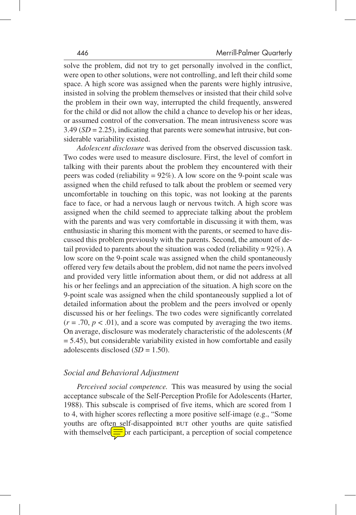solve the problem, did not try to get personally involved in the conflict, were open to other solutions, were not controlling, and left their child some space. A high score was assigned when the parents were highly intrusive, insisted in solving the problem themselves or insisted that their child solve the problem in their own way, interrupted the child frequently, answered for the child or did not allow the child a chance to develop his or her ideas, or assumed control of the conversation. The mean intrusiveness score was 3.49 (*SD* = 2.25), indicating that parents were somewhat intrusive, but considerable variability existed.

*Adolescent disclosure* was derived from the observed discussion task. Two codes were used to measure disclosure. First, the level of comfort in talking with their parents about the problem they encountered with their peers was coded (reliability =  $92\%$ ). A low score on the 9-point scale was assigned when the child refused to talk about the problem or seemed very uncomfortable in touching on this topic, was not looking at the parents face to face, or had a nervous laugh or nervous twitch. A high score was assigned when the child seemed to appreciate talking about the problem with the parents and was very comfortable in discussing it with them, was enthusiastic in sharing this moment with the parents, or seemed to have discussed this problem previously with the parents. Second, the amount of detail provided to parents about the situation was coded (reliability =  $92\%$ ). A low score on the 9-point scale was assigned when the child spontaneously offered very few details about the problem, did not name the peers involved and provided very little information about them, or did not address at all his or her feelings and an appreciation of the situation. A high score on the 9-point scale was assigned when the child spontaneously supplied a lot of detailed information about the problem and the peers involved or openly discussed his or her feelings. The two codes were significantly correlated  $(r = .70, p < .01)$ , and a score was computed by averaging the two items. On average, disclosure was moderately characteristic of the adolescents (*M*  $= 5.45$ ), but considerable variability existed in how comfortable and easily adolescents disclosed (*SD* = 1.50).

#### *Social and Behavioral Adjustment*

*Perceived social competence.* This was measured by using the social acceptance subscale of the Self-Perception Profile for Adolescents (Harter, 1988). This subscale is comprised of five items, which are scored from 1 to 4, with higher scores reflecting a more positive self-image (e.g., "Some youths are often self-disappointed BUT other youths are quite satisfied with themselve $\equiv$  or each participant, a perception of social competence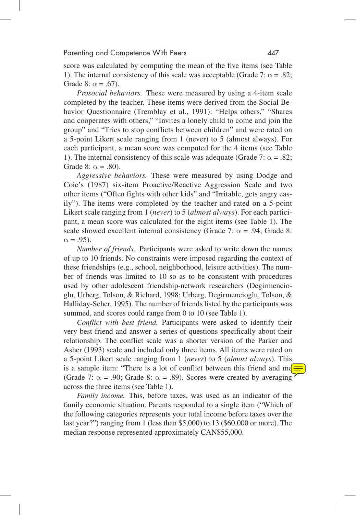score was calculated by computing the mean of the five items (see Table 1). The internal consistency of this scale was acceptable (Grade 7:  $\alpha = .82$ ; Grade 8:  $\alpha = .67$ ).

*Prosocial behaviors.* These were measured by using a 4-item scale completed by the teacher. These items were derived from the Social Behavior Questionnaire (Tremblay et al., 1991): "Helps others," "Shares and cooperates with others," "Invites a lonely child to come and join the group" and "Tries to stop conflicts between children" and were rated on a 5-point Likert scale ranging from 1 (never) to 5 (almost always). For each participant, a mean score was computed for the 4 items (see Table 1). The internal consistency of this scale was adequate (Grade 7:  $\alpha = .82$ ; Grade 8:  $\alpha = .80$ ).

*Aggressive behaviors.* These were measured by using Dodge and Coie's (1987) six-item Proactive/Reactive Aggression Scale and two other items ("Often fights with other kids" and "Irritable, gets angry easily"). The items were completed by the teacher and rated on a 5-point Likert scale ranging from 1 (*never*) to 5 (*almost always*). For each participant, a mean score was calculated for the eight items (see Table 1). The scale showed excellent internal consistency (Grade 7:  $\alpha$  = .94; Grade 8:  $\alpha = .95$ ).

*Number of friends.* Participants were asked to write down the names of up to 10 friends. No constraints were imposed regarding the context of these friendships (e.g., school, neighborhood, leisure activities). The number of friends was limited to 10 so as to be consistent with procedures used by other adolescent friendship-network researchers (Degirmencioglu, Urberg, Tolson, & Richard, 1998; Urberg, Degirmencioglu, Tolson, & Halliday-Scher, 1995). The number of friends listed by the participants was summed, and scores could range from 0 to 10 (see Table 1).

*Conflict with best friend.* Participants were asked to identify their very best friend and answer a series of questions specifically about their relationship. The conflict scale was a shorter version of the Parker and Asher (1993) scale and included only three items. All items were rated on a 5-point Likert scale ranging from 1 (*never*) to 5 (*almost always*). This is a sample item: "There is a lot of conflict between this friend and  $m\leftarrow$ (Grade 7:  $\alpha$  = .90; Grade 8:  $\alpha$  = .89). Scores were created by averaging across the three items (see Table 1).

*Family income.* This, before taxes, was used as an indicator of the family economic situation. Parents responded to a single item ("Which of the following categories represents your total income before taxes over the last year?") ranging from 1 (less than \$5,000) to 13 (\$60,000 or more). The median response represented approximately CAN\$55,000.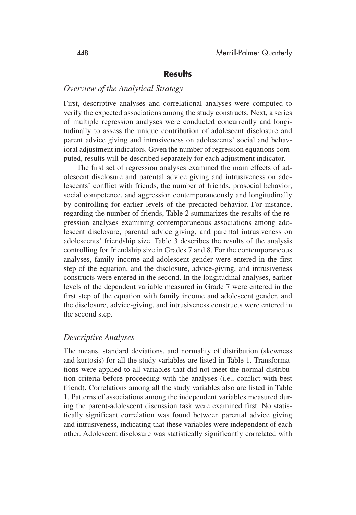# **Results**

### *Overview of the Analytical Strategy*

First, descriptive analyses and correlational analyses were computed to verify the expected associations among the study constructs. Next, a series of multiple regression analyses were conducted concurrently and longitudinally to assess the unique contribution of adolescent disclosure and parent advice giving and intrusiveness on adolescents' social and behavioral adjustment indicators. Given the number of regression equations computed, results will be described separately for each adjustment indicator.

The first set of regression analyses examined the main effects of adolescent disclosure and parental advice giving and intrusiveness on adolescents' conflict with friends, the number of friends, prosocial behavior, social competence, and aggression contemporaneously and longitudinally by controlling for earlier levels of the predicted behavior. For instance, regarding the number of friends, Table 2 summarizes the results of the regression analyses examining contemporaneous associations among adolescent disclosure, parental advice giving, and parental intrusiveness on adolescents' friendship size. Table 3 describes the results of the analysis controlling for friendship size in Grades 7 and 8. For the contemporaneous analyses, family income and adolescent gender were entered in the first step of the equation, and the disclosure, advice-giving, and intrusiveness constructs were entered in the second. In the longitudinal analyses, earlier levels of the dependent variable measured in Grade 7 were entered in the first step of the equation with family income and adolescent gender, and the disclosure, advice-giving, and intrusiveness constructs were entered in the second step.

#### *Descriptive Analyses*

The means, standard deviations, and normality of distribution (skewness and kurtosis) for all the study variables are listed in Table 1. Transformations were applied to all variables that did not meet the normal distribution criteria before proceeding with the analyses (i.e., conflict with best friend). Correlations among all the study variables also are listed in Table 1. Patterns of associations among the independent variables measured during the parent-adolescent discussion task were examined first. No statistically significant correlation was found between parental advice giving and intrusiveness, indicating that these variables were independent of each other. Adolescent disclosure was statistically significantly correlated with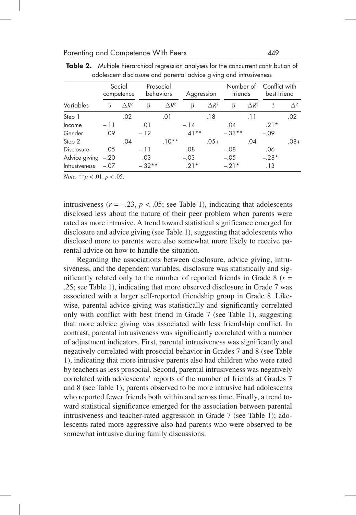Parenting and Competence With Peers 449

|               |         |                      |                        |                 | adolescent disclosure and parental advice giving and intrusiveness |                 |                      |                 |                              |             |
|---------------|---------|----------------------|------------------------|-----------------|--------------------------------------------------------------------|-----------------|----------------------|-----------------|------------------------------|-------------|
|               |         | Social<br>competence | Prosocial<br>behaviors |                 | Aggression                                                         |                 | Number of<br>friends |                 | Conflict with<br>best friend |             |
| Variables     | $\beta$ | $\triangle R^2$      | $\beta$                | $\triangle R^2$ | $\beta$                                                            | $\triangle R^2$ | $\beta$              | $\triangle R^2$ | ß                            | $\Lambda^2$ |
| Step 1        |         | .02                  |                        | .01             |                                                                    | .18             |                      | .11             |                              | .02         |
| Income        | $-.11$  |                      | .01                    |                 | $-.14$                                                             |                 | .04                  |                 | $.21*$                       |             |
| Gender        | .09     |                      | $-.12$                 |                 | $.41**$                                                            |                 | $-.33**$             |                 | $-.09$                       |             |
| Step 2        |         | .04                  |                        | $.10**$         |                                                                    | $.05+$          |                      | .04             |                              | $.08+$      |
| Disclosure    | .05     |                      | $-.11$                 |                 | .08                                                                |                 | $-.08$               |                 | .06                          |             |
| Advice giving | $-.20$  |                      | .03                    |                 | $-.03$                                                             |                 | $-.05$               |                 | $-.28*$                      |             |
| Intrusiveness | $-.07$  |                      | $-.32**$               |                 | $.21*$                                                             |                 | $-.21*$              |                 | .13                          |             |

| Table 2. Multiple hierarchical regression analyses for the concurrent contribution of |
|---------------------------------------------------------------------------------------|
| adolescent disclosure and parental advice aiving and intrusiveness                    |

*Note.* \*\**p* < .01. *p* < .05.

intrusiveness ( $r = -.23$ ,  $p < .05$ ; see Table 1), indicating that adolescents disclosed less about the nature of their peer problem when parents were rated as more intrusive. A trend toward statistical significance emerged for disclosure and advice giving (see Table 1), suggesting that adolescents who disclosed more to parents were also somewhat more likely to receive parental advice on how to handle the situation.

Regarding the associations between disclosure, advice giving, intrusiveness, and the dependent variables, disclosure was statistically and significantly related only to the number of reported friends in Grade  $8$  ( $r =$ .25; see Table 1), indicating that more observed disclosure in Grade 7 was associated with a larger self-reported friendship group in Grade 8. Likewise, parental advice giving was statistically and significantly correlated only with conflict with best friend in Grade 7 (see Table 1), suggesting that more advice giving was associated with less friendship conflict. In contrast, parental intrusiveness was significantly correlated with a number of adjustment indicators. First, parental intrusiveness was significantly and negatively correlated with prosocial behavior in Grades 7 and 8 (see Table 1), indicating that more intrusive parents also had children who were rated by teachers as less prosocial. Second, parental intrusiveness was negatively correlated with adolescents' reports of the number of friends at Grades 7 and 8 (see Table 1); parents observed to be more intrusive had adolescents who reported fewer friends both within and across time. Finally, a trend toward statistical significance emerged for the association between parental intrusiveness and teacher-rated aggression in Grade 7 (see Table 1); adolescents rated more aggressive also had parents who were observed to be somewhat intrusive during family discussions.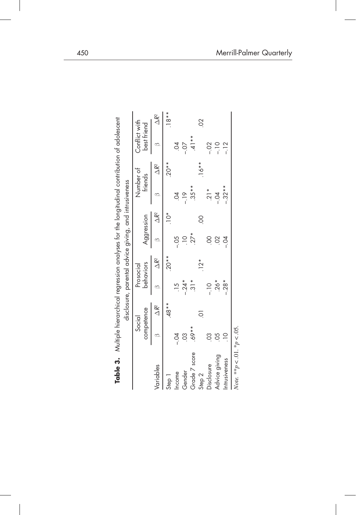| Table 3.                                    | Multiple hierarchical regression analyses for the longitudinal contribution of adolescent |                    |               |              |                |                  |                                                       |              |                               |              |
|---------------------------------------------|-------------------------------------------------------------------------------------------|--------------------|---------------|--------------|----------------|------------------|-------------------------------------------------------|--------------|-------------------------------|--------------|
|                                             |                                                                                           |                    |               |              |                |                  | disclosure, parental advice giving, and intrusiveness |              |                               |              |
|                                             |                                                                                           | Social             | Prosocial     |              |                |                  |                                                       | Number of    | Conflict with                 |              |
|                                             |                                                                                           | competence         |               | behaviors    |                | Aggression       |                                                       | friends      | best friend                   |              |
| Variables                                   |                                                                                           | $\Delta R^2$       |               | $\Delta R^2$ |                | $\Delta R^2$     |                                                       | $\Delta R^2$ | ∞                             | $\Delta R^2$ |
| Step 1                                      |                                                                                           | $.48**$            |               | $20**$       |                | $\sum_{i=1}^{k}$ |                                                       | $20**$       |                               | $.18*$       |
| Income                                      | $-0.4$                                                                                    |                    | $-15$         |              | $-0.5$         |                  | $\tilde{S}$                                           |              | PO.                           |              |
| Gender                                      | $\overline{0}$                                                                            |                    | $-.24*$       |              | $\frac{1}{2}$  |                  | $-19$                                                 |              | $-0.7$                        |              |
| Grade 7 score                               | $*80°$                                                                                    |                    | $\frac{1}{3}$ |              | $27*$          |                  | $.35**$                                               |              | $\overline{4}$ $\overline{4}$ |              |
| Step 2                                      |                                                                                           | $\overline{\circ}$ |               | $.12*$       |                | 8                |                                                       | $16**$       |                               | So           |
| Disclosure                                  | $\overline{c}$                                                                            |                    | $\frac{1}{1}$ |              | S.             |                  | $.21*$                                                |              | $-0.2$                        |              |
| Advice giving                               | 60                                                                                        |                    | $.26*$        |              | $\overline{O}$ |                  | $-0.4$                                                |              | $-10$                         |              |
| lntrusiveness                               |                                                                                           |                    | $-.28*$       |              | $-0.4$         |                  | $-32**$                                               |              | $-12$                         |              |
| <i>Note.</i> ** $p < 0.01$ . * $p < 0.05$ . |                                                                                           |                    |               |              |                |                  |                                                       |              |                               |              |

|   | active chiching reserves that the longitudinal contribution of all contributions<br>)<br>)<br>-<br>)<br>- |  |
|---|-----------------------------------------------------------------------------------------------------------|--|
|   | <br> <br> <br> <br> <br> <br> <br> <br><br> <br><br><br><br>                                              |  |
|   |                                                                                                           |  |
|   | ;>: >>>/;h>!!?> !'                                                                                        |  |
|   | <br> <br> <br> <br> <br> <br>                                                                             |  |
|   |                                                                                                           |  |
| ì |                                                                                                           |  |
|   | က<br>စ<br>Ē                                                                                               |  |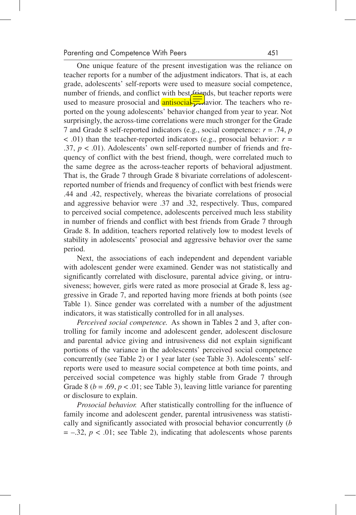One unique feature of the present investigation was the reliance on teacher reports for a number of the adjustment indicators. That is, at each grade, adolescents' self-reports were used to measure social competence, number of friends, and conflict with best *friends*, but teacher reports were used to measure prosocial and **antisocial**  $\frac{1}{\sqrt{1-\lambda}}$  avior. The teachers who reported on the young adolescents' behavior changed from year to year. Not surprisingly, the across-time correlations were much stronger for the Grade 7 and Grade 8 self-reported indicators (e.g., social competence: *r* = .74, *p*  $\leq$  .01) than the teacher-reported indicators (e.g., prosocial behavior: *r* = .37,  $p < .01$ ). Adolescents' own self-reported number of friends and frequency of conflict with the best friend, though, were correlated much to the same degree as the across-teacher reports of behavioral adjustment. That is, the Grade 7 through Grade 8 bivariate correlations of adolescentreported number of friends and frequency of conflict with best friends were .44 and .42, respectively, whereas the bivariate correlations of prosocial and aggressive behavior were .37 and .32, respectively. Thus, compared to perceived social competence, adolescents perceived much less stability in number of friends and conflict with best friends from Grade 7 through Grade 8. In addition, teachers reported relatively low to modest levels of stability in adolescents' prosocial and aggressive behavior over the same period.

Next, the associations of each independent and dependent variable with adolescent gender were examined. Gender was not statistically and significantly correlated with disclosure, parental advice giving, or intrusiveness; however, girls were rated as more prosocial at Grade 8, less aggressive in Grade 7, and reported having more friends at both points (see Table 1). Since gender was correlated with a number of the adjustment indicators, it was statistically controlled for in all analyses.

*Perceived social competence.* As shown in Tables 2 and 3, after controlling for family income and adolescent gender, adolescent disclosure and parental advice giving and intrusiveness did not explain significant portions of the variance in the adolescents' perceived social competence concurrently (see Table 2) or 1 year later (see Table 3). Adolescents' selfreports were used to measure social competence at both time points, and perceived social competence was highly stable from Grade 7 through Grade 8 ( $b = .69$ ,  $p < .01$ ; see Table 3), leaving little variance for parenting or disclosure to explain.

*Prosocial behavior.* After statistically controlling for the influence of family income and adolescent gender, parental intrusiveness was statistically and significantly associated with prosocial behavior concurrently (*b*  $= -0.32$ ,  $p < 0.01$ ; see Table 2), indicating that adolescents whose parents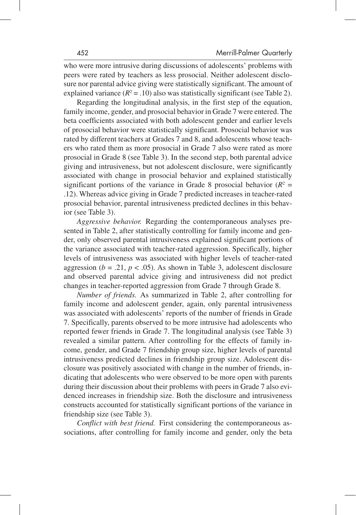who were more intrusive during discussions of adolescents' problems with peers were rated by teachers as less prosocial. Neither adolescent disclosure nor parental advice giving were statistically significant. The amount of explained variance  $(R^2 = .10)$  also was statistically significant (see Table 2).

Regarding the longitudinal analysis, in the first step of the equation, family income, gender, and prosocial behavior in Grade 7 were entered. The beta coefficients associated with both adolescent gender and earlier levels of prosocial behavior were statistically significant. Prosocial behavior was rated by different teachers at Grades 7 and 8, and adolescents whose teachers who rated them as more prosocial in Grade 7 also were rated as more prosocial in Grade 8 (see Table 3). In the second step, both parental advice giving and intrusiveness, but not adolescent disclosure, were significantly associated with change in prosocial behavior and explained statistically significant portions of the variance in Grade 8 prosocial behavior  $(R^2 =$ .12). Whereas advice giving in Grade 7 predicted increases in teacher-rated prosocial behavior, parental intrusiveness predicted declines in this behavior (see Table 3).

*Aggressive behavior.* Regarding the contemporaneous analyses presented in Table 2, after statistically controlling for family income and gender, only observed parental intrusiveness explained significant portions of the variance associated with teacher-rated aggression. Specifically, higher levels of intrusiveness was associated with higher levels of teacher-rated aggression ( $b = .21$ ,  $p < .05$ ). As shown in Table 3, adolescent disclosure and observed parental advice giving and intrusiveness did not predict changes in teacher-reported aggression from Grade 7 through Grade 8.

*Number of friends.* As summarized in Table 2, after controlling for family income and adolescent gender, again, only parental intrusiveness was associated with adolescents' reports of the number of friends in Grade 7. Specifically, parents observed to be more intrusive had adolescents who reported fewer friends in Grade 7. The longitudinal analysis (see Table 3) revealed a similar pattern. After controlling for the effects of family income, gender, and Grade 7 friendship group size, higher levels of parental intrusiveness predicted declines in friendship group size. Adolescent disclosure was positively associated with change in the number of friends, indicating that adolescents who were observed to be more open with parents during their discussion about their problems with peers in Grade 7 also evidenced increases in friendship size. Both the disclosure and intrusiveness constructs accounted for statistically significant portions of the variance in friendship size (see Table 3).

*Conflict with best friend.* First considering the contemporaneous associations, after controlling for family income and gender, only the beta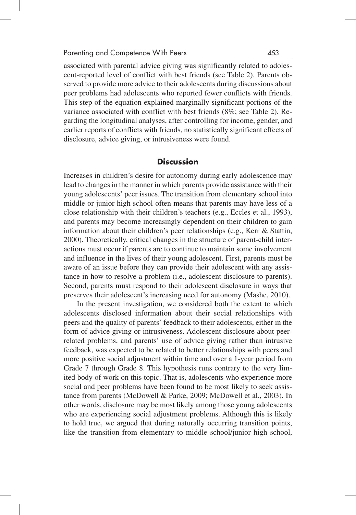associated with parental advice giving was significantly related to adolescent-reported level of conflict with best friends (see Table 2). Parents observed to provide more advice to their adolescents during discussions about peer problems had adolescents who reported fewer conflicts with friends. This step of the equation explained marginally significant portions of the variance associated with conflict with best friends (8%; see Table 2). Regarding the longitudinal analyses, after controlling for income, gender, and earlier reports of conflicts with friends, no statistically significant effects of disclosure, advice giving, or intrusiveness were found.

## **Discussion**

Increases in children's desire for autonomy during early adolescence may lead to changes in the manner in which parents provide assistance with their young adolescents' peer issues. The transition from elementary school into middle or junior high school often means that parents may have less of a close relationship with their children's teachers (e.g., Eccles et al., 1993), and parents may become increasingly dependent on their children to gain information about their children's peer relationships (e.g., Kerr & Stattin, 2000). Theoretically, critical changes in the structure of parent-child interactions must occur if parents are to continue to maintain some involvement and influence in the lives of their young adolescent. First, parents must be aware of an issue before they can provide their adolescent with any assistance in how to resolve a problem (i.e., adolescent disclosure to parents). Second, parents must respond to their adolescent disclosure in ways that preserves their adolescent's increasing need for autonomy (Mashe, 2010).

In the present investigation, we considered both the extent to which adolescents disclosed information about their social relationships with peers and the quality of parents' feedback to their adolescents, either in the form of advice giving or intrusiveness. Adolescent disclosure about peerrelated problems, and parents' use of advice giving rather than intrusive feedback, was expected to be related to better relationships with peers and more positive social adjustment within time and over a 1-year period from Grade 7 through Grade 8. This hypothesis runs contrary to the very limited body of work on this topic. That is, adolescents who experience more social and peer problems have been found to be most likely to seek assistance from parents (McDowell & Parke, 2009; McDowell et al., 2003). In other words, disclosure may be most likely among those young adolescents who are experiencing social adjustment problems. Although this is likely to hold true, we argued that during naturally occurring transition points, like the transition from elementary to middle school/junior high school,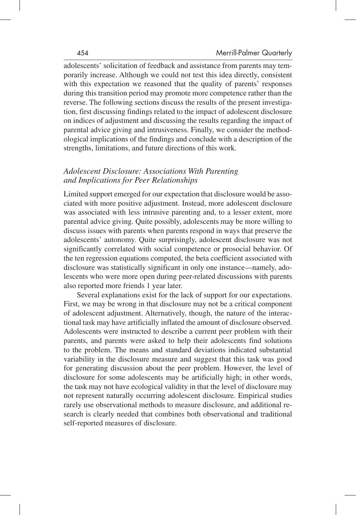adolescents' solicitation of feedback and assistance from parents may temporarily increase. Although we could not test this idea directly, consistent with this expectation we reasoned that the quality of parents' responses during this transition period may promote more competence rather than the reverse. The following sections discuss the results of the present investigation, first discussing findings related to the impact of adolescent disclosure on indices of adjustment and discussing the results regarding the impact of parental advice giving and intrusiveness. Finally, we consider the methodological implications of the findings and conclude with a description of the strengths, limitations, and future directions of this work.

## *Adolescent Disclosure: Associations With Parenting and Implications for Peer Relationships*

Limited support emerged for our expectation that disclosure would be associated with more positive adjustment. Instead, more adolescent disclosure was associated with less intrusive parenting and, to a lesser extent, more parental advice giving. Quite possibly, adolescents may be more willing to discuss issues with parents when parents respond in ways that preserve the adolescents' autonomy. Quite surprisingly, adolescent disclosure was not significantly correlated with social competence or prosocial behavior. Of the ten regression equations computed, the beta coefficient associated with disclosure was statistically significant in only one instance—namely, adolescents who were more open during peer-related discussions with parents also reported more friends 1 year later.

Several explanations exist for the lack of support for our expectations. First, we may be wrong in that disclosure may not be a critical component of adolescent adjustment. Alternatively, though, the nature of the interactional task may have artificially inflated the amount of disclosure observed. Adolescents were instructed to describe a current peer problem with their parents, and parents were asked to help their adolescents find solutions to the problem. The means and standard deviations indicated substantial variability in the disclosure measure and suggest that this task was good for generating discussion about the peer problem. However, the level of disclosure for some adolescents may be artificially high; in other words, the task may not have ecological validity in that the level of disclosure may not represent naturally occurring adolescent disclosure. Empirical studies rarely use observational methods to measure disclosure, and additional research is clearly needed that combines both observational and traditional self-reported measures of disclosure.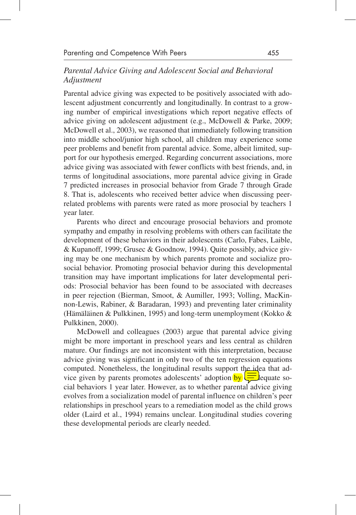# *Parental Advice Giving and Adolescent Social and Behavioral Adjustment*

Parental advice giving was expected to be positively associated with adolescent adjustment concurrently and longitudinally. In contrast to a growing number of empirical investigations which report negative effects of advice giving on adolescent adjustment (e.g., McDowell & Parke, 2009; McDowell et al., 2003), we reasoned that immediately following transition into middle school/junior high school, all children may experience some peer problems and benefit from parental advice. Some, albeit limited, support for our hypothesis emerged. Regarding concurrent associations, more advice giving was associated with fewer conflicts with best friends, and, in terms of longitudinal associations, more parental advice giving in Grade 7 predicted increases in prosocial behavior from Grade 7 through Grade 8. That is, adolescents who received better advice when discussing peerrelated problems with parents were rated as more prosocial by teachers 1 year later.

Parents who direct and encourage prosocial behaviors and promote sympathy and empathy in resolving problems with others can facilitate the development of these behaviors in their adolescents (Carlo, Fabes, Laible, & Kupanoff, 1999; Grusec & Goodnow, 1994). Quite possibly, advice giving may be one mechanism by which parents promote and socialize prosocial behavior. Promoting prosocial behavior during this developmental transition may have important implications for later developmental periods: Prosocial behavior has been found to be associated with decreases in peer rejection (Bierman, Smoot, & Aumiller, 1993; Volling, MacKinnon-Lewis, Rabiner, & Baradaran, 1993) and preventing later criminality (Hämäläinen & Pulkkinen, 1995) and long-term unemployment (Kokko & Pulkkinen, 2000).

McDowell and colleagues (2003) argue that parental advice giving might be more important in preschool years and less central as children mature. Our findings are not inconsistent with this interpretation, because advice giving was significant in only two of the ten regression equations computed. Nonetheless, the longitudinal results support the idea that advice given by parents promotes adolescents' adoption  $\overline{by}$   $\overline{\phantom{y}}$  equate social behaviors 1 year later. However, as to whether parental advice giving evolves from a socialization model of parental influence on children's peer relationships in preschool years to a remediation model as the child grows older (Laird et al., 1994) remains unclear. Longitudinal studies covering these developmental periods are clearly needed.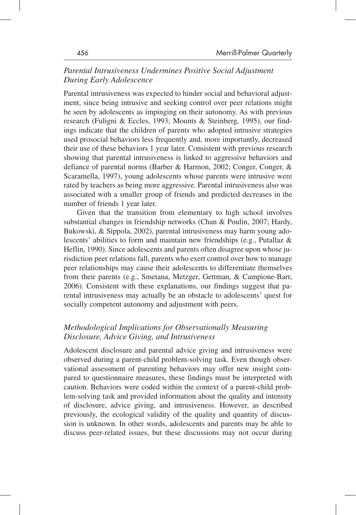# *Parental Intrusiveness Undermines Positive Social Adjustment During Early Adolescence*

Parental intrusiveness was expected to hinder social and behavioral adjustment, since being intrusive and seeking control over peer relations might be seen by adolescents as impinging on their autonomy. As with previous research (Fuligni & Eccles, 1993; Mounts & Steinberg, 1995), our findings indicate that the children of parents who adopted intrusive strategies used prosocial behaviors less frequently and, more importantly, decreased their use of these behaviors 1 year later. Consistent with previous research showing that parental intrusiveness is linked to aggressive behaviors and defiance of parental norms (Barber & Harmon, 2002; Conger, Conger, & Scaramella, 1997), young adolescents whose parents were intrusive were rated by teachers as being more aggressive. Parental intrusiveness also was associated with a smaller group of friends and predicted decreases in the number of friends 1 year later.

Given that the transition from elementary to high school involves substantial changes in friendship networks (Chan & Poulin, 2007; Hardy, Bukowski, & Sippola, 2002), parental intrusiveness may harm young adolescents' abilities to form and maintain new friendships (e.g., Putallaz & Heflin, 1990). Since adolescents and parents often disagree upon whose jurisdiction peer relations fall, parents who exert control over how to manage peer relationships may cause their adolescents to differentiate themselves from their parents (e.g., Smetana, Metzger, Gettman, & Campione-Barr, 2006). Consistent with these explanations, our findings suggest that parental intrusiveness may actually be an obstacle to adolescents' quest for socially competent autonomy and adjustment with peers.

## *Methodological Implications for Observationally Measuring Disclosure, Advice Giving, and Intrusiveness*

Adolescent disclosure and parental advice giving and intrusiveness were observed during a parent-child problem-solving task. Even though observational assessment of parenting behaviors may offer new insight compared to questionnaire measures, these findings must be interpreted with caution. Behaviors were coded within the context of a parent-child problem-solving task and provided information about the quality and intensity of disclosure, advice giving, and intrusiveness. However, as described previously, the ecological validity of the quality and quantity of discussion is unknown. In other words, adolescents and parents may be able to discuss peer-related issues, but these discussions may not occur during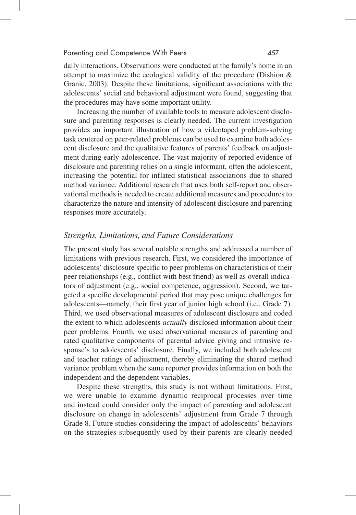daily interactions. Observations were conducted at the family's home in an attempt to maximize the ecological validity of the procedure (Dishion & Granic, 2003). Despite these limitations, significant associations with the adolescents' social and behavioral adjustment were found, suggesting that the procedures may have some important utility.

Increasing the number of available tools to measure adolescent disclosure and parenting responses is clearly needed. The current investigation provides an important illustration of how a videotaped problem-solving task centered on peer-related problems can be used to examine both adolescent disclosure and the qualitative features of parents' feedback on adjustment during early adolescence. The vast majority of reported evidence of disclosure and parenting relies on a single informant, often the adolescent, increasing the potential for inflated statistical associations due to shared method variance. Additional research that uses both self-report and observational methods is needed to create additional measures and procedures to characterize the nature and intensity of adolescent disclosure and parenting responses more accurately.

#### *Strengths, Limitations, and Future Considerations*

The present study has several notable strengths and addressed a number of limitations with previous research. First, we considered the importance of adolescents' disclosure specific to peer problems on characteristics of their peer relationships (e.g., conflict with best friend) as well as overall indicators of adjustment (e.g., social competence, aggression). Second, we targeted a specific developmental period that may pose unique challenges for adolescents—namely, their first year of junior high school (i.e., Grade 7). Third, we used observational measures of adolescent disclosure and coded the extent to which adolescents *actually* disclosed information about their peer problems. Fourth, we used observational measures of parenting and rated qualitative components of parental advice giving and intrusive response's to adolescents' disclosure. Finally, we included both adolescent and teacher ratings of adjustment, thereby eliminating the shared method variance problem when the same reporter provides information on both the independent and the dependent variables.

Despite these strengths, this study is not without limitations. First, we were unable to examine dynamic reciprocal processes over time and instead could consider only the impact of parenting and adolescent disclosure on change in adolescents' adjustment from Grade 7 through Grade 8. Future studies considering the impact of adolescents' behaviors on the strategies subsequently used by their parents are clearly needed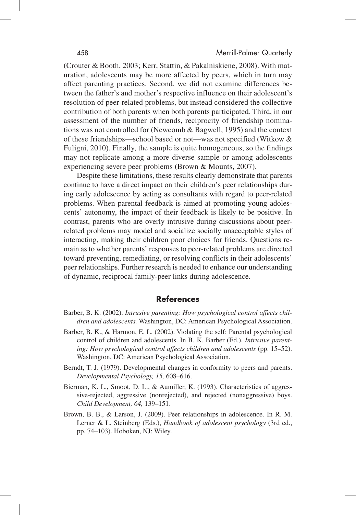(Crouter & Booth, 2003; Kerr, Stattin, & Pakalniskiene, 2008). With maturation, adolescents may be more affected by peers, which in turn may affect parenting practices. Second, we did not examine differences between the father's and mother's respective influence on their adolescent's resolution of peer-related problems, but instead considered the collective contribution of both parents when both parents participated. Third, in our assessment of the number of friends, reciprocity of friendship nominations was not controlled for (Newcomb & Bagwell, 1995) and the context of these friendships—school based or not—was not specified (Witkow & Fuligni, 2010). Finally, the sample is quite homogeneous, so the findings may not replicate among a more diverse sample or among adolescents experiencing severe peer problems (Brown & Mounts, 2007).

Despite these limitations, these results clearly demonstrate that parents continue to have a direct impact on their children's peer relationships during early adolescence by acting as consultants with regard to peer-related problems. When parental feedback is aimed at promoting young adolescents' autonomy, the impact of their feedback is likely to be positive. In contrast, parents who are overly intrusive during discussions about peerrelated problems may model and socialize socially unacceptable styles of interacting, making their children poor choices for friends. Questions remain as to whether parents' responses to peer-related problems are directed toward preventing, remediating, or resolving conflicts in their adolescents' peer relationships. Further research is needed to enhance our understanding of dynamic, reciprocal family-peer links during adolescence.

## **References**

- Barber, B. K. (2002). *Intrusive parenting: How psychological control affects children and adolescents.* Washington, DC: American Psychological Association.
- Barber, B. K., & Harmon, E. L. (2002). Violating the self: Parental psychological control of children and adolescents. In B. K. Barber (Ed.), *Intrusive parenting: How psychological control affects children and adolescents* (pp. 15–52). Washington, DC: American Psychological Association.
- Berndt, T. J. (1979). Developmental changes in conformity to peers and parents. *Developmental Psychology, 15,* 608–616.
- Bierman, K. L., Smoot, D. L., & Aumiller, K. (1993). Characteristics of aggressive-rejected, aggressive (nonrejected), and rejected (nonaggressive) boys. *Child Development, 64,* 139–151.
- Brown, B. B., & Larson, J. (2009). Peer relationships in adolescence. In R. M. Lerner & L. Steinberg (Eds.), *Handbook of adolescent psychology* (3rd ed., pp. 74–103). Hoboken, NJ: Wiley.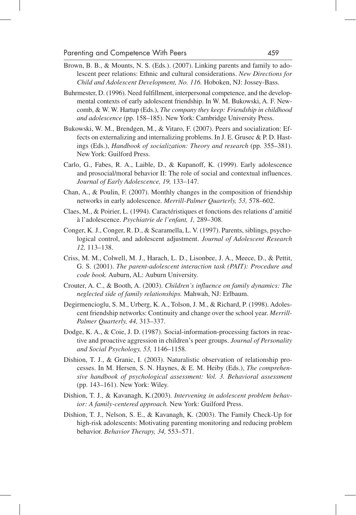- Brown, B. B., & Mounts, N. S. (Eds.). (2007). Linking parents and family to adolescent peer relations: Ethnic and cultural considerations. *New Directions for Child and Adolescent Development, No. 116.* Hoboken, NJ: Jossey-Bass.
- Buhrmester, D. (1996). Need fulfillment, interpersonal competence, and the developmental contexts of early adolescent friendship. In W. M. Bukowski, A. F. Newcomb, & W. W. Hartup (Eds.), *The company they keep: Friendship in childhood and adolescence* (pp. 158–185). New York: Cambridge University Press.
- Bukowski, W. M., Brendgen, M., & Vitaro, F. (2007). Peers and socialization: Effects on externalizing and internalizing problems. In J. E. Grusec & P. D. Hastings (Eds.), *Handbook of socialization: Theory and research* (pp. 355–381). New York: Guilford Press.
- Carlo, G., Fabes, R. A., Laible, D., & Kupanoff, K. (1999). Early adolescence and prosocial/moral behavior II: The role of social and contextual influences. *Journal of Early Adolescence, 19,* 133–147.
- Chan, A., & Poulin, F. (2007). Monthly changes in the composition of friendship networks in early adolescence. *Merrill-Palmer Quarterly, 53,* 578–602.
- Claes, M., & Poirier, L. (1994). Caractéristiques et fonctions des relations d'amitié à l'adolescence. *Psychiatrie de l'enfant, 1,* 289–308.
- Conger, K. J., Conger, R. D., & Scaramella, L. V. (1997). Parents, siblings, psychological control, and adolescent adjustment. *Journal of Adolescent Research 12,* 113–138.
- Criss, M. M., Colwell, M. J., Harach, L. D., Lisonbee, J. A., Meece, D., & Pettit, G. S. (2001). *The parent-adolescent interaction task (PAIT): Procedure and code book.* Auburn, AL: Auburn University.
- Crouter, A. C., & Booth, A. (2003). *Children's influence on family dynamics: The neglected side of family relationships.* Mahwah, NJ: Erlbaum.
- Degirmencioglu, S. M., Urberg, K. A., Tolson, J. M., & Richard, P. (1998). Adolescent friendship networks: Continuity and change over the school year. *Merrill-Palmer Quarterly, 44,* 313–337.
- Dodge, K. A., & Coie, J. D. (1987). Social-information-processing factors in reactive and proactive aggression in children's peer groups. *Journal of Personality and Social Psychology, 53,* 1146–1158.
- Dishion, T. J., & Granic, I. (2003). Naturalistic observation of relationship processes. In M. Hersen, S. N. Haynes, & E. M. Heiby (Eds.), *The comprehensive handbook of psychological assessment: Vol. 3. Behavioral assessment* (pp. 143–161). New York: Wiley.
- Dishion, T. J., & Kavanagh, K.(2003). *Intervening in adolescent problem behavior: A family-centered approach.* New York: Guilford Press.
- Dishion, T. J., Nelson, S. E., & Kavanagh, K. (2003). The Family Check-Up for high-risk adolescents: Motivating parenting monitoring and reducing problem behavior. *Behavior Therapy, 34,* 553–571.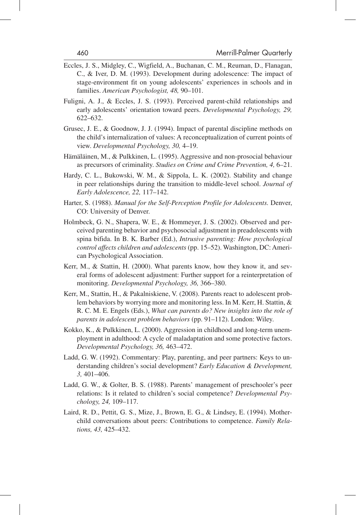- Eccles, J. S., Midgley, C., Wigfield, A., Buchanan, C. M., Reuman, D., Flanagan, C., & Iver, D. M. (1993). Development during adolescence: The impact of stage-environment fit on young adolescents' experiences in schools and in families. *American Psychologist, 48,* 90–101.
- Fuligni, A. J., & Eccles, J. S. (1993). Perceived parent-child relationships and early adolescents' orientation toward peers. *Developmental Psychology, 29,* 622–632.
- Grusec, J. E., & Goodnow, J. J. (1994). Impact of parental discipline methods on the child's internalization of values: A reconceptualization of current points of view. *Developmental Psychology, 30,* 4–19.
- Hämäläinen, M., & Pulkkinen, L. (1995). Aggressive and non-prosocial behaviour as precursors of criminality. *Studies on Crime and Crime Prevention, 4,* 6–21.
- Hardy, C. L., Bukowski, W. M., & Sippola, L. K. (2002). Stability and change in peer relationships during the transition to middle-level school. *Journal of Early Adolescence, 22,* 117–142.
- Harter, S. (1988). *Manual for the Self-Perception Profile for Adolescents.* Denver, CO: University of Denver.
- Holmbeck, G. N., Shapera, W. E., & Hommeyer, J. S. (2002). Observed and perceived parenting behavior and psychosocial adjustment in preadolescents with spina bifida. In B. K. Barber (Ed.), *Intrusive parenting: How psychological control affects children and adolescents* (pp. 15–52). Washington, DC: American Psychological Association.
- Kerr, M., & Stattin, H. (2000). What parents know, how they know it, and several forms of adolescent adjustment: Further support for a reinterpretation of monitoring. *Developmental Psychology, 36,* 366–380.
- Kerr, M., Stattin, H., & Pakalniskiene, V. (2008). Parents react to adolescent problem behaviors by worrying more and monitoring less. In M. Kerr, H. Stattin, & R. C. M. E. Engels (Eds.), *What can parents do? New insights into the role of parents in adolescent problem behaviors* (pp. 91–112). London: Wiley.
- Kokko, K., & Pulkkinen, L. (2000). Aggression in childhood and long-term unemployment in adulthood: A cycle of maladaptation and some protective factors. *Developmental Psychology, 36,* 463–472.
- Ladd, G. W. (1992). Commentary: Play, parenting, and peer partners: Keys to understanding children's social development? *Early Education & Development, 3,* 401–406.
- Ladd, G. W., & Golter, B. S. (1988). Parents' management of preschooler's peer relations: Is it related to children's social competence? *Developmental Psychology, 24,* 109–117.
- Laird, R. D., Pettit, G. S., Mize, J., Brown, E. G., & Lindsey, E. (1994). Motherchild conversations about peers: Contributions to competence. *Family Relations, 43,* 425–432.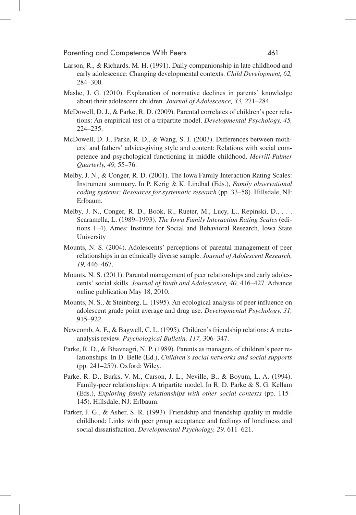- Larson, R., & Richards, M. H. (1991). Daily companionship in late childhood and early adolescence: Changing developmental contexts. *Child Development, 62,* 284–300.
- Mashe, J. G. (2010). Explanation of normative declines in parents' knowledge about their adolescent children. *Journal of Adolescence, 33,* 271–284.
- McDowell, D. J., & Parke, R. D. (2009). Parental correlates of children's peer relations: An empirical test of a tripartite model. *Developmental Psychology, 45,* 224–235.
- McDowell, D. J., Parke, R. D., & Wang, S. J. (2003). Differences between mothers' and fathers' advice-giving style and content: Relations with social competence and psychological functioning in middle childhood. *Merrill-Palmer Quarterly, 49,* 55–76.
- Melby, J. N., & Conger, R. D. (2001). The Iowa Family Interaction Rating Scales: Instrument summary. In P. Kerig & K. Lindhal (Eds.), *Family observational coding systems: Resources for systematic research* (pp. 33–58). Hillsdale, NJ: Erlbaum.
- Melby, J. N., Conger, R. D., Book, R., Rueter, M., Lucy, L., Repinski, D., . . . Scaramella, L. (1989–1993). *The Iowa Family Interaction Rating Scales* (editions 1–4). Ames: Institute for Social and Behavioral Research, Iowa State University
- Mounts, N. S. (2004). Adolescents' perceptions of parental management of peer relationships in an ethnically diverse sample. *Journal of Adolescent Research, 19,* 446–467.
- Mounts, N. S. (2011). Parental management of peer relationships and early adolescents' social skills. *Journal of Youth and Adolescence, 40,* 416–427. Advance online publication May 18, 2010.
- Mounts, N. S., & Steinberg, L. (1995). An ecological analysis of peer influence on adolescent grade point average and drug use. *Developmental Psychology, 31,* 915–922.
- Newcomb, A. F., & Bagwell, C. L. (1995). Children's friendship relations: A metaanalysis review. *Psychological Bulletin, 117,* 306–347.
- Parke, R. D., & Bhavnagri, N. P. (1989). Parents as managers of children's peer relationships. In D. Belle (Ed.), *Children's social networks and social supports* (pp. 241–259). Oxford: Wiley.
- Parke, R. D., Burks, V. M., Carson, J. L., Neville, B., & Boyum, L. A. (1994). Family-peer relationships: A tripartite model. In R. D. Parke & S. G. Kellam (Eds.), *Exploring family relationships with other social contexts* (pp. 115– 145). Hillsdale, NJ: Erlbaum.
- Parker, J. G., & Asher, S. R. (1993). Friendship and friendship quality in middle childhood: Links with peer group acceptance and feelings of loneliness and social dissatisfaction. *Developmental Psychology, 29,* 611–621.